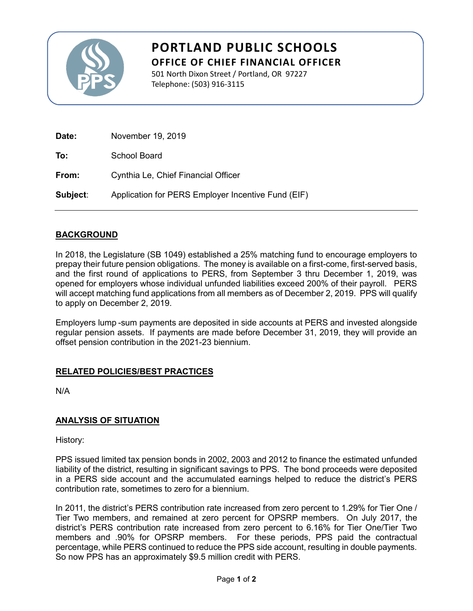

# **PORTLAND PUBLIC SCHOOLS OFFICE OF CHIEF FINANCIAL OFFICER**

501 North Dixon Street / Portland, OR 97227 Telephone: (503) 916-3115

| Date:    | November 19, 2019                                  |
|----------|----------------------------------------------------|
| To:      | School Board                                       |
| From:    | Cynthia Le, Chief Financial Officer                |
| Subject: | Application for PERS Employer Incentive Fund (EIF) |

# **BACKGROUND**

In 2018, the Legislature (SB 1049) established a 25% matching fund to encourage employers to prepay their future pension obligations. The money is available on a first-come, first-served basis, and the first round of applications to PERS, from September 3 thru December 1, 2019, was opened for employers whose individual unfunded liabilities exceed 200% of their payroll. PERS will accept matching fund applications from all members as of December 2, 2019. PPS will qualify to apply on December 2, 2019.

Employers lump -sum payments are deposited in side accounts at PERS and invested alongside regular pension assets. If payments are made before December 31, 2019, they will provide an offset pension contribution in the 2021-23 biennium.

# **RELATED POLICIES/BEST PRACTICES**

N/A

#### **ANALYSIS OF SITUATION**

History:

PPS issued limited tax pension bonds in 2002, 2003 and 2012 to finance the estimated unfunded liability of the district, resulting in significant savings to PPS. The bond proceeds were deposited in a PERS side account and the accumulated earnings helped to reduce the district's PERS contribution rate, sometimes to zero for a biennium.

In 2011, the district's PERS contribution rate increased from zero percent to 1.29% for Tier One / Tier Two members, and remained at zero percent for OPSRP members. On July 2017, the district's PERS contribution rate increased from zero percent to 6.16% for Tier One/Tier Two members and .90% for OPSRP members. For these periods, PPS paid the contractual percentage, while PERS continued to reduce the PPS side account, resulting in double payments. So now PPS has an approximately \$9.5 million credit with PERS.